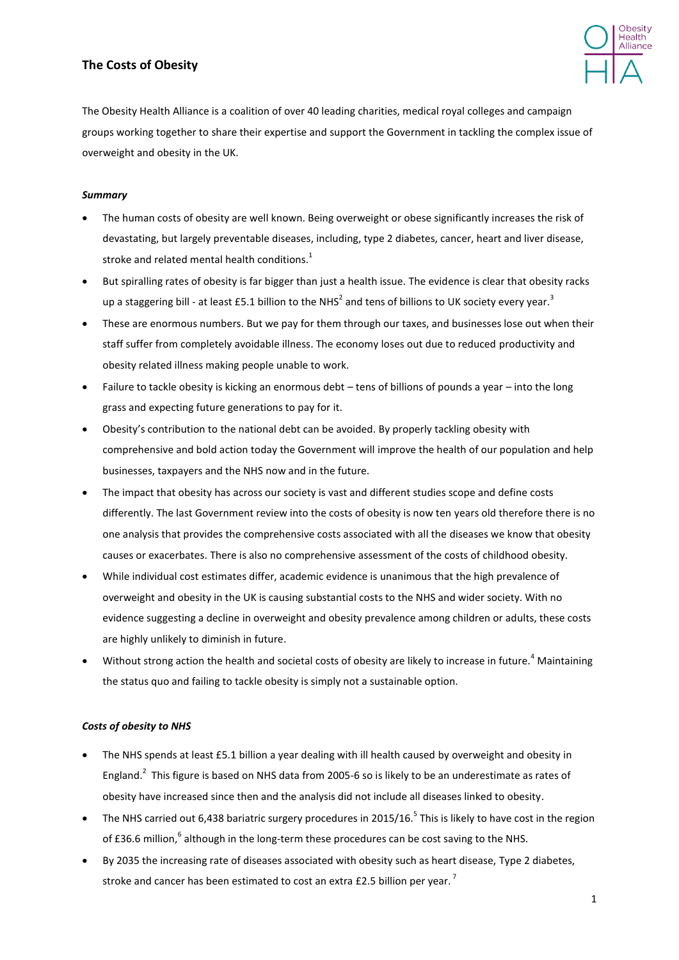# **The Costs of Obesity**

<span id="page-0-1"></span>

The Obesity Health Alliance is a coalition of over 40 leading charities, medical royal colleges and campaign groups working together to share their expertise and support the Government in tackling the complex issue of overweight and obesity in the UK.

## *Summary*

- The human costs of obesity are well known. Being overweight or obese significantly increases the risk of devastating, but largely preventable diseases, including, type 2 diabetes, cancer, heart and liver disease, stroke and related mental health conditions.<sup>1</sup>
- <span id="page-0-0"></span> But spiralling rates of obesity is far bigger than just a health issue. The evidence is clear that obesity racks up a staggering bill - at least £5.1 billion to the NHS<sup>2</sup> and tens of billions to UK society every year.<sup>3</sup>
- These are enormous numbers. But we pay for them through our taxes, and businesses lose out when their staff suffer from completely avoidable illness. The economy loses out due to reduced productivity and obesity related illness making people unable to work.
- Failure to tackle obesity is kicking an enormous debt tens of billions of pounds a year into the long grass and expecting future generations to pay for it.
- Obesity's contribution to the national debt can be avoided. By properly tackling obesity with comprehensive and bold action today the Government will improve the health of our population and help businesses, taxpayers and the NHS now and in the future.
- The impact that obesity has across our society is vast and different studies scope and define costs differently. The last Government review into the costs of obesity is now ten years old therefore there is no one analysis that provides the comprehensive costs associated with all the diseases we know that obesity causes or exacerbates. There is also no comprehensive assessment of the costs of childhood obesity.
- While individual cost estimates differ, academic evidence is unanimous that the high prevalence of overweight and obesity in the UK is causing substantial costs to the NHS and wider society. With no evidence suggesting a decline in overweight and obesity prevalence among children or adults, these costs are highly unlikely to diminish in future.
- Without strong action the health and societal costs of obesity are likely to increase in future.<sup>4</sup> Maintaining the status quo and failing to tackle obesity is simply not a sustainable option.

### *Costs of obesity to NHS*

- The NHS spends at least £5.1 billion a year dealing with ill health caused by overweight and obesity in England[.](#page-0-0)<sup>2</sup> This figure is based on NHS data from 2005-6 so is likely to be an underestimate as rates of obesity have increased since then and the analysis did not include all diseases linked to obesity.
- The NHS carried out 6,438 bariatric surgery procedures in 2015/16.<sup>5</sup> This is likely to have cost in the region of £36.6 million,  $^{6}$  although in the long-term these procedures can be cost saving to the NHS.
- By 2035 the increasing rate of diseases associated with obesity such as heart disease, Type 2 diabetes, stroke and cancer has been estimated to cost an extra £2.5 billion per year.<sup>7</sup>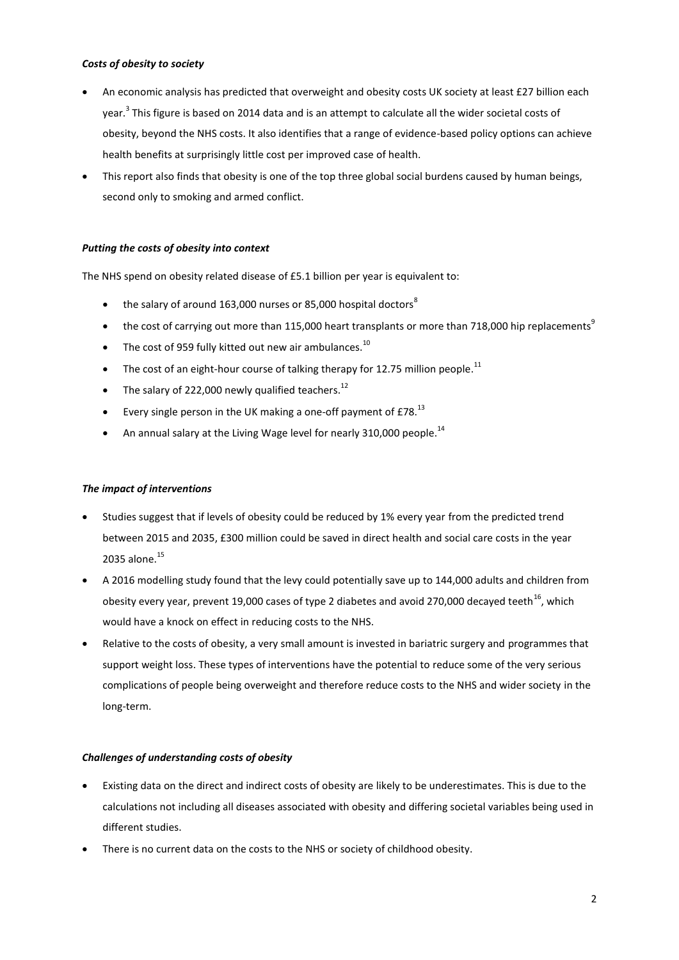#### *Costs of obesity to society*

- An economic analysis has predicted that overweight and obesity costs UK society at least £27 billion each year[.](#page-0-1)<sup>3</sup> This figure is based on 2014 data and is an attempt to calculate all the wider societal costs of obesity, beyond the NHS costs. It also identifies that a range of evidence-based policy options can achieve health benefits at surprisingly little cost per improved case of health.
- This report also finds that obesity is one of the top three global social burdens caused by human beings, second only to smoking and armed conflict.

### *Putting the costs of obesity into context*

The NHS spend on obesity related disease of £5.1 billion per year is equivalent to:

- the salary of around 163,000 nurses or 85,000 hospital doctors<sup>8</sup>
- the cost of carrying out more than 115,000 heart transplants or more than 718,000 hip replacements<sup>9</sup>
- The cost of 959 fully kitted out new air ambulances.<sup>10</sup>
- The cost of an eight-hour course of talking therapy for 12.75 million people.<sup>11</sup>
- The salary of 222,000 newly qualified teachers.<sup>12</sup>
- Every single person in the UK making a one-off payment of £78. $^{13}$
- An annual salary at the Living Wage level for nearly 310,000 people.<sup>14</sup>

### *The impact of interventions*

- Studies suggest that if levels of obesity could be reduced by 1% every year from the predicted trend between 2015 and 2035, £300 million could be saved in direct health and social care costs in the year 2035 alone.<sup>15</sup>
- A 2016 modelling study found that the levy could potentially save up to 144,000 adults and children from obesity every year, prevent 19,000 cases of type 2 diabetes and avoid 270,000 decayed teeth<sup>16</sup>, which would have a knock on effect in reducing costs to the NHS.
- Relative to the costs of obesity, a very small amount is invested in bariatric surgery and programmes that support weight loss. These types of interventions have the potential to reduce some of the very serious complications of people being overweight and therefore reduce costs to the NHS and wider society in the long-term.

### *Challenges of understanding costs of obesity*

- Existing data on the direct and indirect costs of obesity are likely to be underestimates. This is due to the calculations not including all diseases associated with obesity and differing societal variables being used in different studies.
- There is no current data on the costs to the NHS or society of childhood obesity.